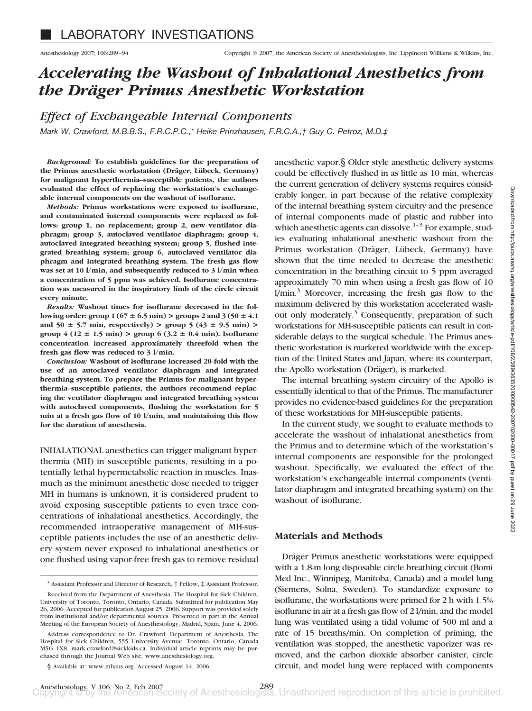# *Accelerating the Washout of Inhalational Anesthetics from the Dra¨ger Primus Anesthetic Workstation*

*Effect of Exchangeable Internal Components*

*Mark W. Crawford, M.B.B.S., F.R.C.P.C.,\* Heike Prinzhausen, F.R.C.A.,† Guy C. Petroz, M.D.‡*

*Background:* **To establish guidelines for the preparation of** the Primus anesthetic workstation (Dräger, Lübeck, Germany) **for malignant hyperthermia–susceptible patients, the authors evaluated the effect of replacing the workstation's exchangeable internal components on the washout of isoflurane.**

*Methods:* **Primus workstations were exposed to isoflurane, and contaminated internal components were replaced as follows: group 1, no replacement; group 2, new ventilator diaphragm; group 3, autoclaved ventilator diaphragm; group 4, autoclaved integrated breathing system; group 5, flushed integrated breathing system; group 6, autoclaved ventilator diaphragm and integrated breathing system. The fresh gas flow was set at 10 l/min, and subsequently reduced to 3 l/min when a concentration of 5 ppm was achieved. Isoflurane concentration was measured in the inspiratory limb of the circle circuit every minute.**

*Results:* **Washout times for isoflurane decreased in the fol**lowing order: group  $1 (67 \pm 6.5 \text{ min}) >$  groups 2 and  $3 (50 \pm 4.1 \text{ m})$ and  $50 \pm 5.7$  min, respectively) **>**  $\text{group } 5 (43 \pm 9.5 \text{ min})$  **> group** 4 (12  $\pm$  1.5 min) > **group** 6 (3.2  $\pm$  0.4 min). Isoflurane **concentration increased approximately threefold when the fresh gas flow was reduced to 3 l/min.**

*Conclusion:* **Washout of isoflurane increased 20-fold with the use of an autoclaved ventilator diaphragm and integrated breathing system. To prepare the Primus for malignant hyperthermia–susceptible patients, the authors recommend replacing the ventilator diaphragm and integrated breathing system with autoclaved components, flushing the workstation for 5 min at a fresh gas flow of 10 l/min, and maintaining this flow for the duration of anesthesia.**

INHALATIONAL anesthetics can trigger malignant hyperthermia (MH) in susceptible patients, resulting in a potentially lethal hypermetabolic reaction in muscles. Inasmuch as the minimum anesthetic dose needed to trigger MH in humans is unknown, it is considered prudent to avoid exposing susceptible patients to even trace concentrations of inhalational anesthetics. Accordingly, the recommended intraoperative management of MH-susceptible patients includes the use of an anesthetic delivery system never exposed to inhalational anesthetics or one flushed using vapor-free fresh gas to remove residual anesthetic vapor.§ Older style anesthetic delivery systems could be effectively flushed in as little as 10 min, whereas the current generation of delivery systems requires considerably longer, in part because of the relative complexity of the internal breathing system circuitry and the presence of internal components made of plastic and rubber into which anesthetic agents can dissolve. $1-3$  For example, studies evaluating inhalational anesthetic washout from the Primus workstation (Dräger, Lübeck, Germany) have shown that the time needed to decrease the anesthetic concentration in the breathing circuit to 5 ppm averaged approximately 70 min when using a fresh gas flow of 10  $1/min.<sup>3</sup>$  Moreover, increasing the fresh gas flow to the maximum delivered by this workstation accelerated washout only moderately. $3$  Consequently, preparation of such workstations for MH-susceptible patients can result in considerable delays to the surgical schedule. The Primus anesthetic workstation is marketed worldwide with the exception of the United States and Japan, where its counterpart, the Apollo workstation (Dräger), is marketed.

The internal breathing system circuitry of the Apollo is essentially identical to that of the Primus. The manufacturer provides no evidence-based guidelines for the preparation of these workstations for MH-susceptible patients.

In the current study, we sought to evaluate methods to accelerate the washout of inhalational anesthetics from the Primus and to determine which of the workstation's internal components are responsible for the prolonged washout. Specifically, we evaluated the effect of the workstation's exchangeable internal components (ventilator diaphragm and integrated breathing system) on the washout of isoflurane.

# **Materials and Methods**

Dräger Primus anesthetic workstations were equipped with a 1.8-m long disposable circle breathing circuit (Bomi Med Inc., Winnipeg, Manitoba, Canada) and a model lung (Siemens, Solna, Sweden). To standardize exposure to isoflurane, the workstations were primed for 2 h with 1.5% isoflurane in air at a fresh gas flow of 2 l/min, and the model lung was ventilated using a tidal volume of 500 ml and a rate of 15 breaths/min. On completion of priming, the ventilation was stopped, the anesthetic vaporizer was removed, and the carbon dioxide absorber canister, circle circuit, and model lung were replaced with components

<sup>\*</sup> Assistant Professor and Director of Research, † Fellow, ‡ Assistant Professor.

Received from the Department of Anesthesia, The Hospital for Sick Children, University of Toronto, Toronto, Ontario, Canada. Submitted for publication May 26, 2006. Accepted for publication August 25, 2006. Support was provided solely from institutional and/or departmental sources. Presented in part at the Annual Meeting of the European Society of Anesthesiology, Madrid, Spain, June 4, 2006.

Address correspondence to Dr. Crawford: Department of Anesthesia, The Hospital for Sick Children, 555 University Avenue, Toronto, Ontario, Canada M5G 1X8. mark.crawford@sickkids.ca. Individual article reprints may be purchased through the Journal Web site, www.anesthesiology.org.

<sup>§</sup> Available at: www.mhaus.org. Accessed August 14, 2006.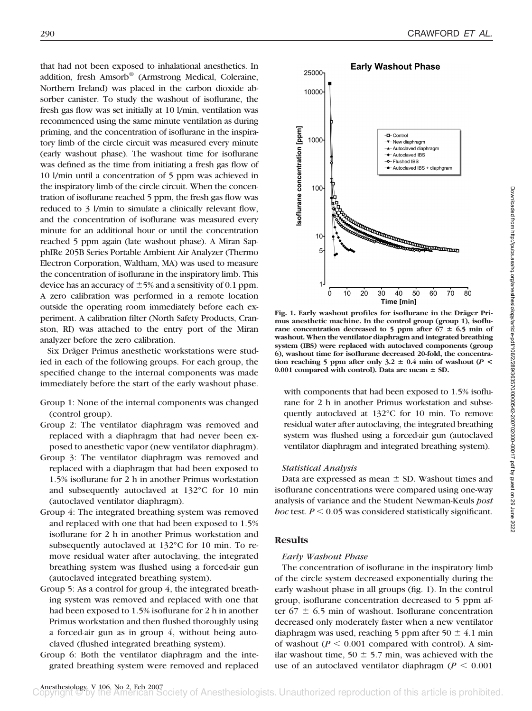that had not been exposed to inhalational anesthetics. In addition, fresh Amsorb® (Armstrong Medical, Coleraine, Northern Ireland) was placed in the carbon dioxide absorber canister. To study the washout of isoflurane, the fresh gas flow was set initially at 10 l/min, ventilation was recommenced using the same minute ventilation as during priming, and the concentration of isoflurane in the inspiratory limb of the circle circuit was measured every minute (early washout phase). The washout time for isoflurane was defined as the time from initiating a fresh gas flow of 10 l/min until a concentration of 5 ppm was achieved in the inspiratory limb of the circle circuit. When the concentration of isoflurane reached 5 ppm, the fresh gas flow was reduced to 3 l/min to simulate a clinically relevant flow, and the concentration of isoflurane was measured every minute for an additional hour or until the concentration reached 5 ppm again (late washout phase). A Miran SapphIRe 205B Series Portable Ambient Air Analyzer (Thermo Electron Corporation, Waltham, MA) was used to measure the concentration of isoflurane in the inspiratory limb. This device has an accuracy of  $\pm$ 5% and a sensitivity of 0.1 ppm. A zero calibration was performed in a remote location outside the operating room immediately before each experiment. A calibration filter (North Safety Products, Cranston, RI) was attached to the entry port of the Miran analyzer before the zero calibration.

Six Dräger Primus anesthetic workstations were studied in each of the following groups. For each group, the specified change to the internal components was made immediately before the start of the early washout phase.

- Group 1: None of the internal components was changed (control group).
- Group 2: The ventilator diaphragm was removed and replaced with a diaphragm that had never been exposed to anesthetic vapor (new ventilator diaphragm).
- Group 3: The ventilator diaphragm was removed and replaced with a diaphragm that had been exposed to 1.5% isoflurane for 2 h in another Primus workstation and subsequently autoclaved at 132°C for 10 min (autoclaved ventilator diaphragm).
- Group 4: The integrated breathing system was removed and replaced with one that had been exposed to 1.5% isoflurane for 2 h in another Primus workstation and subsequently autoclaved at 132°C for 10 min. To remove residual water after autoclaving, the integrated breathing system was flushed using a forced-air gun (autoclaved integrated breathing system).
- Group 5: As a control for group 4, the integrated breathing system was removed and replaced with one that had been exposed to 1.5% isoflurane for 2 h in another Primus workstation and then flushed thoroughly using a forced-air gun as in group 4, without being autoclaved (flushed integrated breathing system).
- Group 6: Both the ventilator diaphragm and the integrated breathing system were removed and replaced



Fig. 1. Early washout profiles for isoflurane in the Dräger Pri**mus anesthetic machine. In the control group (group 1), isoflu**rane concentration decreased to 5 ppm after  $67 \pm 6.5$  min of **washout. When the ventilator diaphragm and integrated breathing system (IBS) were replaced with autoclaved components (group 6), washout time for isoflurane decreased 20-fold, the concentration reaching 5 ppm after only 3.2**  $\pm$  **0.4 min of washout (** $P$  **<** 0.001 compared with control). Data are mean  $\pm$  SD.

with components that had been exposed to 1.5% isoflurane for 2 h in another Primus workstation and subsequently autoclaved at 132°C for 10 min. To remove residual water after autoclaving, the integrated breathing system was flushed using a forced-air gun (autoclaved ventilator diaphragm and integrated breathing system).

### *Statistical Analysis*

Data are expressed as mean  $\pm$  SD. Washout times and isoflurane concentrations were compared using one-way analysis of variance and the Student Newman-Keuls *post hoc* test.  $P \le 0.05$  was considered statistically significant.

## **Results**

#### *Early Washout Phase*

The concentration of isoflurane in the inspiratory limb of the circle system decreased exponentially during the early washout phase in all groups (fig. 1). In the control group, isoflurane concentration decreased to 5 ppm after  $67 \pm 6.5$  min of washout. Isoflurane concentration decreased only moderately faster when a new ventilator diaphragm was used, reaching 5 ppm after 50  $\pm$  4.1 min of washout ( $P \le 0.001$  compared with control). A similar washout time,  $50 \pm 5.7$  min, was achieved with the use of an autoclaved ventilator diaphragm ( $P < 0.001$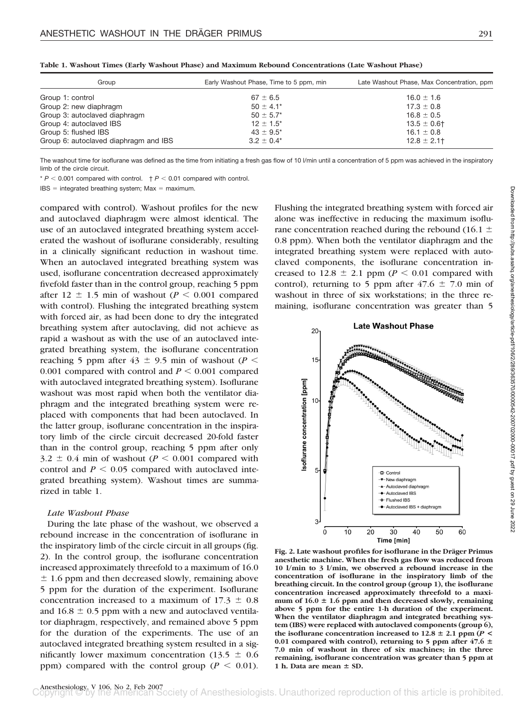| Group                                 | Early Washout Phase, Time to 5 ppm, min | Late Washout Phase, Max Concentration, ppm |
|---------------------------------------|-----------------------------------------|--------------------------------------------|
| Group 1: control                      | $67 \pm 6.5$                            | $16.0 \pm 1.6$                             |
| Group 2: new diaphragm                | $50 \pm 4.1^*$                          | $17.3 \pm 0.8$                             |
| Group 3: autoclaved diaphragm         | $50 \pm 5.7^*$                          | $16.8 \pm 0.5$                             |
| Group 4: autoclaved IBS               | $12 \pm 1.5^*$                          | $13.5 \pm 0.6$ †                           |
| Group 5: flushed IBS                  | $43 \pm 9.5^*$                          | $16.1 \pm 0.8$                             |
| Group 6: autoclaved diaphragm and IBS | $3.2 \pm 0.4^*$                         | $12.8 \pm 2.1$                             |

**Table 1. Washout Times (Early Washout Phase) and Maximum Rebound Concentrations (Late Washout Phase)**

The washout time for isoflurane was defined as the time from initiating a fresh gas flow of 10 I/min until a concentration of 5 ppm was achieved in the inspiratory limb of the circle circuit.

 $* P < 0.001$  compared with control.  $+ P < 0.01$  compared with control.

 $IBS =$  integrated breathing system; Max = maximum.

compared with control). Washout profiles for the new and autoclaved diaphragm were almost identical. The use of an autoclaved integrated breathing system accelerated the washout of isoflurane considerably, resulting in a clinically significant reduction in washout time. When an autoclaved integrated breathing system was used, isoflurane concentration decreased approximately fivefold faster than in the control group, reaching 5 ppm after  $12 \pm 1.5$  min of washout ( $P < 0.001$  compared with control). Flushing the integrated breathing system with forced air, as had been done to dry the integrated breathing system after autoclaving, did not achieve as rapid a washout as with the use of an autoclaved integrated breathing system, the isoflurane concentration reaching 5 ppm after  $43 \pm 9.5$  min of washout ( $P \le$ 0.001 compared with control and  $P \le 0.001$  compared with autoclaved integrated breathing system). Isoflurane washout was most rapid when both the ventilator diaphragm and the integrated breathing system were replaced with components that had been autoclaved. In the latter group, isoflurane concentration in the inspiratory limb of the circle circuit decreased 20-fold faster than in the control group, reaching 5 ppm after only  $3.2 \pm 0.4$  min of washout ( $P \le 0.001$  compared with control and  $P < 0.05$  compared with autoclaved integrated breathing system). Washout times are summarized in table 1.

## *Late Washout Phase*

During the late phase of the washout, we observed a rebound increase in the concentration of isoflurane in the inspiratory limb of the circle circuit in all groups (fig. 2). In the control group, the isoflurane concentration increased approximately threefold to a maximum of 16.0  $\pm$  1.6 ppm and then decreased slowly, remaining above 5 ppm for the duration of the experiment. Isoflurane concentration increased to a maximum of  $17.3 \pm 0.8$ and  $16.8 \pm 0.5$  ppm with a new and autoclaved ventilator diaphragm, respectively, and remained above 5 ppm for the duration of the experiments. The use of an autoclaved integrated breathing system resulted in a significantly lower maximum concentration (13.5  $\pm$  0.6 ppm) compared with the control group ( $P < 0.01$ ).

Flushing the integrated breathing system with forced air alone was ineffective in reducing the maximum isoflurane concentration reached during the rebound (16.1  $\pm$ 0.8 ppm). When both the ventilator diaphragm and the integrated breathing system were replaced with autoclaved components, the isoflurane concentration increased to  $12.8 \pm 2.1$  ppm ( $P \le 0.01$  compared with control), returning to 5 ppm after  $47.6 \pm 7.0$  min of washout in three of six workstations; in the three remaining, isoflurane concentration was greater than 5



Fig. 2. Late washout profiles for isoflurane in the Dräger Primus **anesthetic machine. When the fresh gas flow was reduced from 10 l/min to 3 l/min, we observed a rebound increase in the concentration of isoflurane in the inspiratory limb of the breathing circuit. In the control group (group 1), the isoflurane concentration increased approximately threefold to a maxi**mum of  $16.0 \pm 1.6$  ppm and then decreased slowly, remaining **above 5 ppm for the entire 1-h duration of the experiment. When the ventilator diaphragm and integrated breathing system (IBS) were replaced with autoclaved components (group 6),** the isoflurane concentration increased to  $12.8 \pm 2.1$  ppm  $(P \leq$ 0.01 compared with control), returning to 5 ppm after  $47.6 \pm$ **7.0 min of washout in three of six machines; in the three remaining, isoflurane concentration was greater than 5 ppm at** 1 h. Data are mean  $\pm$  SD.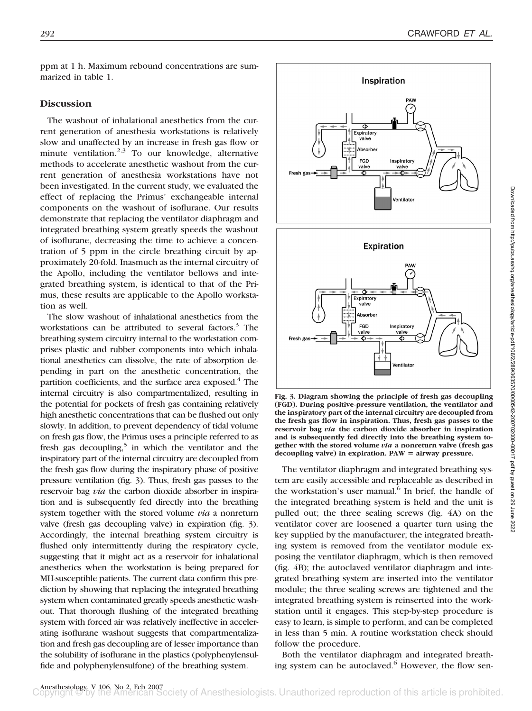ppm at 1 h. Maximum rebound concentrations are summarized in table 1.

# **Discussion**

The washout of inhalational anesthetics from the current generation of anesthesia workstations is relatively slow and unaffected by an increase in fresh gas flow or minute ventilation.<sup>2,3</sup> To our knowledge, alternative methods to accelerate anesthetic washout from the current generation of anesthesia workstations have not been investigated. In the current study, we evaluated the effect of replacing the Primus' exchangeable internal components on the washout of isoflurane. Our results demonstrate that replacing the ventilator diaphragm and integrated breathing system greatly speeds the washout of isoflurane, decreasing the time to achieve a concentration of 5 ppm in the circle breathing circuit by approximately 20-fold. Inasmuch as the internal circuitry of the Apollo, including the ventilator bellows and integrated breathing system, is identical to that of the Primus, these results are applicable to the Apollo workstation as well.

The slow washout of inhalational anesthetics from the workstations can be attributed to several factors.<sup>3</sup> The breathing system circuitry internal to the workstation comprises plastic and rubber components into which inhalational anesthetics can dissolve, the rate of absorption depending in part on the anesthetic concentration, the partition coefficients, and the surface area exposed.<sup>4</sup> The internal circuitry is also compartmentalized, resulting in the potential for pockets of fresh gas containing relatively high anesthetic concentrations that can be flushed out only slowly. In addition, to prevent dependency of tidal volume on fresh gas flow, the Primus uses a principle referred to as fresh gas decoupling,<sup>5</sup> in which the ventilator and the inspiratory part of the internal circuitry are decoupled from the fresh gas flow during the inspiratory phase of positive pressure ventilation (fig. 3). Thus, fresh gas passes to the reservoir bag *via* the carbon dioxide absorber in inspiration and is subsequently fed directly into the breathing system together with the stored volume *via* a nonreturn valve (fresh gas decoupling valve) in expiration (fig. 3). Accordingly, the internal breathing system circuitry is flushed only intermittently during the respiratory cycle, suggesting that it might act as a reservoir for inhalational anesthetics when the workstation is being prepared for MH-susceptible patients. The current data confirm this prediction by showing that replacing the integrated breathing system when contaminated greatly speeds anesthetic washout. That thorough flushing of the integrated breathing system with forced air was relatively ineffective in accelerating isoflurane washout suggests that compartmentalization and fresh gas decoupling are of lesser importance than the solubility of isoflurane in the plastics (polyphenylensulfide and polyphenylensulfone) of the breathing system.



**Fig. 3. Diagram showing the principle of fresh gas decoupling (FGD). During positive-pressure ventilation, the ventilator and the inspiratory part of the internal circuitry are decoupled from the fresh gas flow in inspiration. Thus, fresh gas passes to the reservoir bag** *via* **the carbon dioxide absorber in inspiration and is subsequently fed directly into the breathing system together with the stored volume** *via* **a nonreturn valve (fresh gas** decoupling valve) in expiration. PAW = airway pressure.

The ventilator diaphragm and integrated breathing system are easily accessible and replaceable as described in the workstation's user manual.<sup>6</sup> In brief, the handle of the integrated breathing system is held and the unit is pulled out; the three sealing screws (fig. 4A) on the ventilator cover are loosened a quarter turn using the key supplied by the manufacturer; the integrated breathing system is removed from the ventilator module exposing the ventilator diaphragm, which is then removed (fig. 4B); the autoclaved ventilator diaphragm and integrated breathing system are inserted into the ventilator module; the three sealing screws are tightened and the integrated breathing system is reinserted into the workstation until it engages. This step-by-step procedure is easy to learn, is simple to perform, and can be completed in less than 5 min. A routine workstation check should follow the procedure.

Both the ventilator diaphragm and integrated breathing system can be autoclaved.<sup>6</sup> However, the flow sen-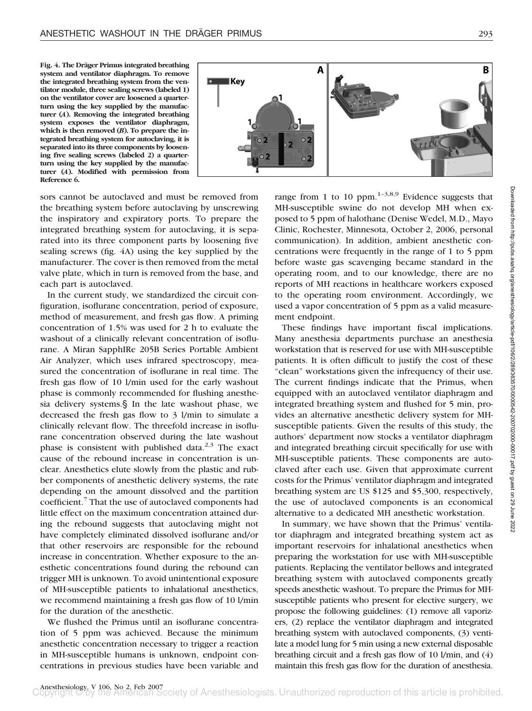Fig. 4. The Dräger Primus integrated breathing **system and ventilator diaphragm. To remove the integrated breathing system from the ventilator module, three sealing screws (labeled 1) on the ventilator cover are loosened a quarterturn using the key supplied by the manufacturer (***A***). Removing the integrated breathing system exposes the ventilator diaphragm,** which is then removed (*B*). To prepare the in**tegrated breathing system for autoclaving, it is separated into its three components by loosening five sealing screws (labeled 2) a quarterturn using the key supplied by the manufacturer (***A***). Modified with permission from Reference 6.**



sors cannot be autoclaved and must be removed from the breathing system before autoclaving by unscrewing the inspiratory and expiratory ports. To prepare the integrated breathing system for autoclaving, it is separated into its three component parts by loosening five sealing screws (fig. 4A) using the key supplied by the manufacturer. The cover is then removed from the metal valve plate, which in turn is removed from the base, and each part is autoclaved.

In the current study, we standardized the circuit configuration, isoflurane concentration, period of exposure, method of measurement, and fresh gas flow. A priming concentration of 1.5% was used for 2 h to evaluate the washout of a clinically relevant concentration of isoflurane. A Miran SapphIRe 205B Series Portable Ambient Air Analyzer, which uses infrared spectroscopy, measured the concentration of isoflurane in real time. The fresh gas flow of 10 l/min used for the early washout phase is commonly recommended for flushing anesthesia delivery systems.§ In the late washout phase, we decreased the fresh gas flow to 3 l/min to simulate a clinically relevant flow. The threefold increase in isoflurane concentration observed during the late washout phase is consistent with published data. $2,3$  The exact cause of the rebound increase in concentration is unclear. Anesthetics elute slowly from the plastic and rubber components of anesthetic delivery systems, the rate depending on the amount dissolved and the partition coefficient.7 That the use of autoclaved components had little effect on the maximum concentration attained during the rebound suggests that autoclaving might not have completely eliminated dissolved isoflurane and/or that other reservoirs are responsible for the rebound increase in concentration. Whether exposure to the anesthetic concentrations found during the rebound can trigger MH is unknown. To avoid unintentional exposure of MH-susceptible patients to inhalational anesthetics, we recommend maintaining a fresh gas flow of 10 l/min for the duration of the anesthetic.

We flushed the Primus until an isoflurane concentration of 5 ppm was achieved. Because the minimum anesthetic concentration necessary to trigger a reaction in MH-susceptible humans is unknown, endpoint concentrations in previous studies have been variable and range from 1 to 10 ppm.<sup>1-3,8,9</sup> Evidence suggests that MH-susceptible swine do not develop MH when exposed to 5 ppm of halothane (Denise Wedel, M.D., Mayo Clinic, Rochester, Minnesota, October 2, 2006, personal communication). In addition, ambient anesthetic concentrations were frequently in the range of 1 to 5 ppm before waste gas scavenging became standard in the operating room, and to our knowledge, there are no reports of MH reactions in healthcare workers exposed to the operating room environment. Accordingly, we used a vapor concentration of 5 ppm as a valid measurement endpoint.

These findings have important fiscal implications. Many anesthesia departments purchase an anesthesia workstation that is reserved for use with MH-susceptible patients. It is often difficult to justify the cost of these "clean" workstations given the infrequency of their use. The current findings indicate that the Primus, when equipped with an autoclaved ventilator diaphragm and integrated breathing system and flushed for 5 min, provides an alternative anesthetic delivery system for MHsusceptible patients. Given the results of this study, the authors' department now stocks a ventilator diaphragm and integrated breathing circuit specifically for use with MH-susceptible patients. These components are autoclaved after each use. Given that approximate current costs for the Primus' ventilator diaphragm and integrated breathing system are US \$125 and \$5,300, respectively, the use of autoclaved components is an economical alternative to a dedicated MH anesthetic workstation.

In summary, we have shown that the Primus' ventilator diaphragm and integrated breathing system act as important reservoirs for inhalational anesthetics when preparing the workstation for use with MH-susceptible patients. Replacing the ventilator bellows and integrated breathing system with autoclaved components greatly speeds anesthetic washout. To prepare the Primus for MHsusceptible patients who present for elective surgery, we propose the following guidelines: (1) remove all vaporizers, (2) replace the ventilator diaphragm and integrated breathing system with autoclaved components, (3) ventilate a model lung for 5 min using a new external disposable breathing circuit and a fresh gas flow of 10 l/min, and (4) maintain this fresh gas flow for the duration of anesthesia.